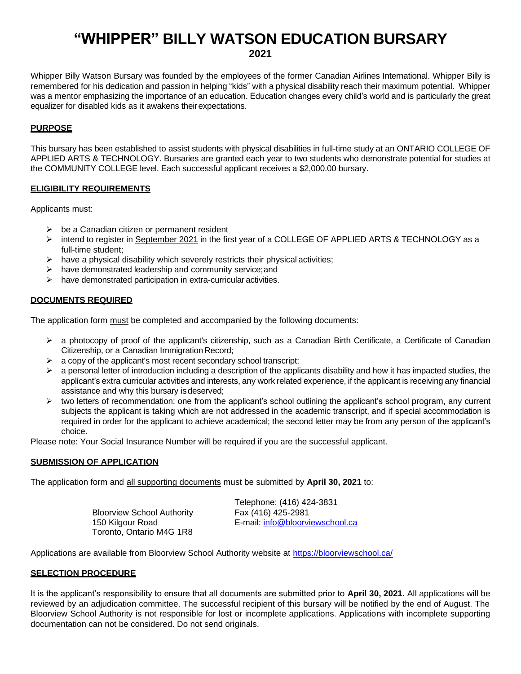# **"WHIPPER" BILLY WATSON EDUCATION BURSARY 2021**

Whipper Billy Watson Bursary was founded by the employees of the former Canadian Airlines International. Whipper Billy is remembered for his dedication and passion in helping "kids" with a physical disability reach their maximum potential. Whipper was a mentor emphasizing the importance of an education. Education changes every child's world and is particularly the great equalizer for disabled kids as it awakens theirexpectations.

## **PURPOSE**

This bursary has been established to assist students with physical disabilities in full-time study at an ONTARIO COLLEGE OF APPLIED ARTS & TECHNOLOGY. Bursaries are granted each year to two students who demonstrate potential for studies at the COMMUNITY COLLEGE level. Each successful applicant receives a \$2,000.00 bursary.

#### **ELIGIBILITY REQUIREMENTS**

Applicants must:

- $\triangleright$  be a Canadian citizen or permanent resident
- ➢ intend to register in September 2021 in the first year of a COLLEGE OF APPLIED ARTS & TECHNOLOGY as a full-time student;
- $\triangleright$  have a physical disability which severely restricts their physical activities;
- ➢ have demonstrated leadership and community service;and
- ➢ have demonstrated participation in extra-curricular activities.

#### **DOCUMENTS REQUIRED**

The application form must be completed and accompanied by the following documents:

- ➢ a photocopy of proof of the applicant's citizenship, such as a Canadian Birth Certificate, a Certificate of Canadian Citizenship, or a Canadian Immigration Record;
- $\triangleright$  a copy of the applicant's most recent secondary school transcript;
- $\triangleright$  a personal letter of introduction including a description of the applicants disability and how it has impacted studies, the applicant's extra curricular activities and interests, any work related experience, if the applicant is receiving any financial assistance and why this bursary isdeserved;
- $\triangleright$  two letters of recommendation: one from the applicant's school outlining the applicant's school program, any current subjects the applicant is taking which are not addressed in the academic transcript, and if special accommodation is required in order for the applicant to achieve academical; the second letter may be from any person of the applicant's choice.

Please note: Your Social Insurance Number will be required if you are the successful applicant.

## **SUBMISSION OF APPLICATION**

The application form and all supporting documents must be submitted by **April 30, 2021** to:

Bloorview School Authority 150 Kilgour Road Toronto, Ontario M4G 1R8 Telephone: (416) 424-3831 Fax (416) 425-2981 E-mail: [info@bloorviewschool.ca](mailto:info@bloorviewschool.ca)

Applications are available from Bloorview School Authority website at<https://bloorviewschool.ca/>

#### **SELECTION PROCEDURE**

It is the applicant's responsibility to ensure that all documents are submitted prior to **April 30, 2021.** All applications will be reviewed by an adjudication committee. The successful recipient of this bursary will be notified by the end of August. The Bloorview School Authority is not responsible for lost or incomplete applications. Applications with incomplete supporting documentation can not be considered. Do not send originals.